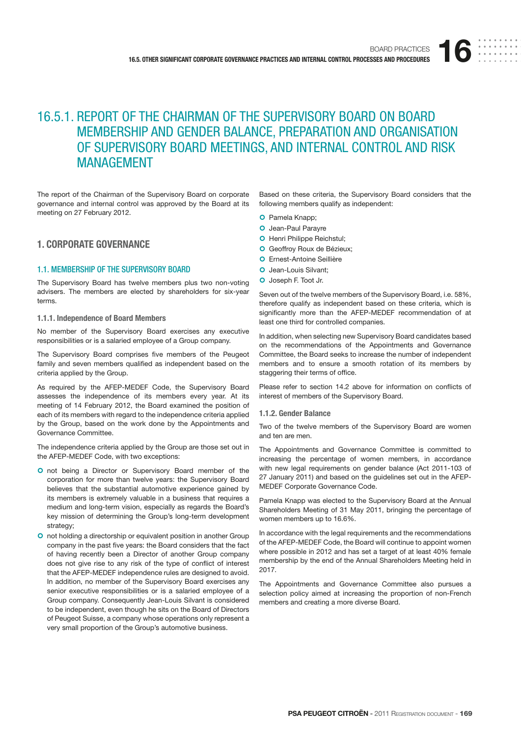# 16.5.1. REPORT OF THE CHAIRMAN OF THE SUPERVISORY BOARD ON BOARD MEMBERSHIP AND GENDER BALANCE, PREPARATION AND ORGANISATION OF SUPERVISORY BOARD MEETINGS, AND INTERNAL CONTROL AND RISK MANAGEMENT

The report of the Chairman of the Supervisory Board on corporate governance and internal control was approved by the Board at its meeting on 27 February 2012.

# **1. CORPORATE GOVERNANCE**

## 1.1. MEMBERSHIP OF THE SUPERVISORY BOARD

The Supervisory Board has twelve members plus two non-voting advisers. The members are elected by shareholders for six-year terms.

#### **1.1.1. Independence of Board Members**

No member of the Supervisory Board exercises any executive responsibilities or is a salaried employee of a Group company.

The Supervisory Board comprises five members of the Peugeot family and seven members qualified as independent based on the criteria applied by the Group.

As required by the AFEP-MEDEF Code, the Supervisory Board assesses the independence of its members every year. At its meeting of 14 February 2012, the Board examined the position of each of its members with regard to the independence criteria applied by the Group, based on the work done by the Appointments and Governance Committee.

The independence criteria applied by the Group are those set out in the AFEP-MEDEF Code, with two exceptions:

- **O** not being a Director or Supervisory Board member of the corporation for more than twelve years: the Supervisory Board believes that the substantial automotive experience gained by its members is extremely valuable in a business that requires a medium and long-term vision, especially as regards the Board's key mission of determining the Group's long-term development strategy;
- **O** not holding a directorship or equivalent position in another Group company in the past five years: the Board considers that the fact of having recently been a Director of another Group company does not give rise to any risk of the type of conflict of interest that the AFEP-MEDEF independence rules are designed to avoid. In addition, no member of the Supervisory Board exercises any senior executive responsibilities or is a salaried employee of a Group company. Consequently Jean-Louis Silvant is considered to be independent, even though he sits on the Board of Directors of Peugeot Suisse, a company whose operations only represent a very small proportion of the Group's automotive business.

Based on these criteria, the Supervisory Board considers that the following members qualify as independent:

- O Pamela Knapp;
- O Jean-Paul Parayre
- **O** Henri Philippe Reichstul;
- **O** Geoffroy Roux de Bézieux;
- O Ernest-Antoine Seillière
- O Jean-Louis Silvant;
- O Joseph F. Toot Jr.

Seven out of the twelve members of the Supervisory Board, i.e. 58%, therefore qualify as independent based on these criteria, which is significantly more than the AFEP-MEDEF recommendation of at least one third for controlled companies.

In addition, when selecting new Supervisory Board candidates based on the recommendations of the Appointments and Governance Committee, the Board seeks to increase the number of independent members and to ensure a smooth rotation of its members by staggering their terms of office.

Please refer to section 14.2 above for information on conflicts of interest of members of the Supervisory Board.

#### **1.1.2. Gender Balance**

Two of the twelve members of the Supervisory Board are women and ten are men.

The Appointments and Governance Committee is committed to increasing the percentage of women members, in accordance with new legal requirements on gender balance (Act 2011-103 of 27 January 2011) and based on the guidelines set out in the AFEP-MEDEF Corporate Governance Code.

Pamela Knapp was elected to the Supervisory Board at the Annual Shareholders Meeting of 31 May 2011, bringing the percentage of women members up to 16.6%.

In accordance with the legal requirements and the recommendations of the AFEP-MEDEF Code, the Board will continue to appoint women where possible in 2012 and has set a target of at least 40% female membership by the end of the Annual Shareholders Meeting held in 2017.

The Appointments and Governance Committee also pursues a selection policy aimed at increasing the proportion of non-French members and creating a more diverse Board.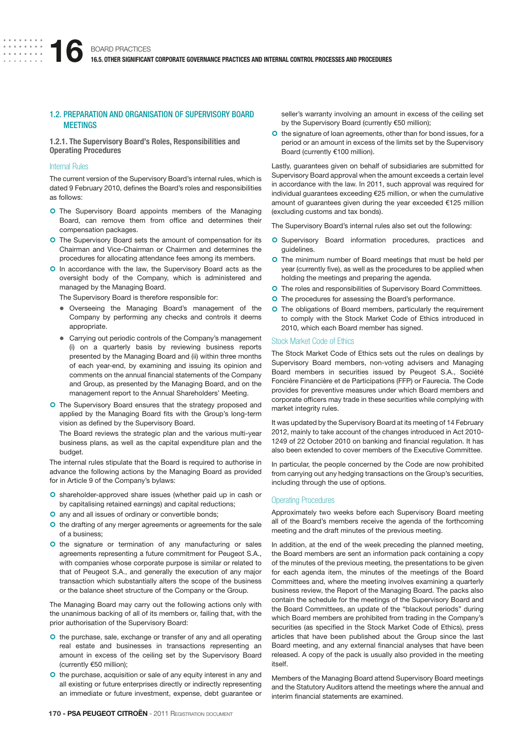## 1.2. PREPARATION AND ORGANISATION OF SUPERVISORY BOARD **MFFTINGS**

**1.2.1. The Supervisory Board's Roles, Responsibilities and Operating Procedures**

## Internal Rules

The current version of the Supervisory Board's internal rules, which is dated 9 February 2010, defines the Board's roles and responsibilities as follows:

- **O** The Supervisory Board appoints members of the Managing Board, can remove them from office and determines their compensation packages.
- **O** The Supervisory Board sets the amount of compensation for its Chairman and Vice-Chairman or Chairmen and determines the procedures for allocating attendance fees among its members.
- O In accordance with the law, the Supervisory Board acts as the oversight body of the Company, which is administered and managed by the Managing Board.

The Supervisory Board is therefore responsible for:

- Overseeing the Managing Board's management of the Company by performing any checks and controls it deems appropriate.
- Carrying out periodic controls of the Company's management (i) on a quarterly basis by reviewing business reports presented by the Managing Board and (ii) within three months of each year-end, by examining and issuing its opinion and comments on the annual financial statements of the Company and Group, as presented by the Managing Board, and on the management report to the Annual Shareholders' Meeting.
- **O** The Supervisory Board ensures that the strategy proposed and applied by the Managing Board fits with the Group's long-term vision as defined by the Supervisory Board.

The Board reviews the strategic plan and the various multi-year business plans, as well as the capital expenditure plan and the budget.

The internal rules stipulate that the Board is required to authorise in advance the following actions by the Managing Board as provided for in Article 9 of the Company's bylaws:

- **O** shareholder-approved share issues (whether paid up in cash or by capitalising retained earnings) and capital reductions;
- O any and all issues of ordinary or convertible bonds;
- **O** the drafting of any merger agreements or agreements for the sale of a business;
- O the signature or termination of any manufacturing or sales agreements representing a future commitment for Peugeot S.A., with companies whose corporate purpose is similar or related to that of Peugeot S.A., and generally the execution of any major transaction which substantially alters the scope of the business or the balance sheet structure of the Company or the Group.

The Managing Board may carry out the following actions only with the unanimous backing of all of its members or, failing that, with the prior authorisation of the Supervisory Board:

- O the purchase, sale, exchange or transfer of any and all operating real estate and businesses in transactions representing an amount in excess of the ceiling set by the Supervisory Board (currently €50 million);
- **O** the purchase, acquisition or sale of any equity interest in any and all existing or future enterprises directly or indirectly representing an immediate or future investment, expense, debt guarantee or

seller's warranty involving an amount in excess of the ceiling set by the Supervisory Board (currently €50 million);

O the signature of loan agreements, other than for bond issues, for a period or an amount in excess of the limits set by the Supervisory Board (currently €100 million).

Lastly, guarantees given on behalf of subsidiaries are submitted for Supervisory Board approval when the amount exceeds a certain level in accordance with the law. In 2011, such approval was required for individual guarantees exceeding €25 million, or when the cumulative amount of guarantees given during the year exceeded €125 million (excluding customs and tax bonds).

The Supervisory Board's internal rules also set out the following:

- **O** Supervisory Board information procedures, practices and guidelines.
- O The minimum number of Board meetings that must be held per year (currently five), as well as the procedures to be applied when holding the meetings and preparing the agenda.
- **O** The roles and responsibilities of Supervisory Board Committees.
- **O** The procedures for assessing the Board's performance.
- **O** The obligations of Board members, particularly the requirement to comply with the Stock Market Code of Ethics introduced in 2010, which each Board member has signed.

#### Stock Market Code of Ethics

The Stock Market Code of Ethics sets out the rules on dealings by Supervisory Board members, non-voting advisers and Managing Board members in securities issued by Peugeot S.A., Société Foncière Financière et de Participations (FFP) or Faurecia. The Code provides for preventive measures under which Board members and corporate officers may trade in these securities while complying with market integrity rules.

It was updated by the Supervisory Board at its meeting of 14 February 2012, mainly to take account of the changes introduced in Act 2010- 1249 of 22 October 2010 on banking and financial regulation. It has also been extended to cover members of the Executive Committee.

In particular, the people concerned by the Code are now prohibited from carrying out any hedging transactions on the Group's securities, including through the use of options.

### Operating Procedures

Approximately two weeks before each Supervisory Board meeting all of the Board's members receive the agenda of the forthcoming meeting and the draft minutes of the previous meeting.

In addition, at the end of the week preceding the planned meeting, the Board members are sent an information pack containing a copy of the minutes of the previous meeting, the presentations to be given for each agenda item, the minutes of the meetings of the Board Committees and, where the meeting involves examining a quarterly business review, the Report of the Managing Board. The packs also contain the schedule for the meetings of the Supervisory Board and the Board Committees, an update of the "blackout periods" during which Board members are prohibited from trading in the Company's securities (as specified in the Stock Market Code of Ethics), press articles that have been published about the Group since the last Board meeting, and any external financial analyses that have been released. A copy of the pack is usually also provided in the meeting itself.

Members of the Managing Board attend Supervisory Board meetings and the Statutory Auditors attend the meetings where the annual and interim financial statements are examined.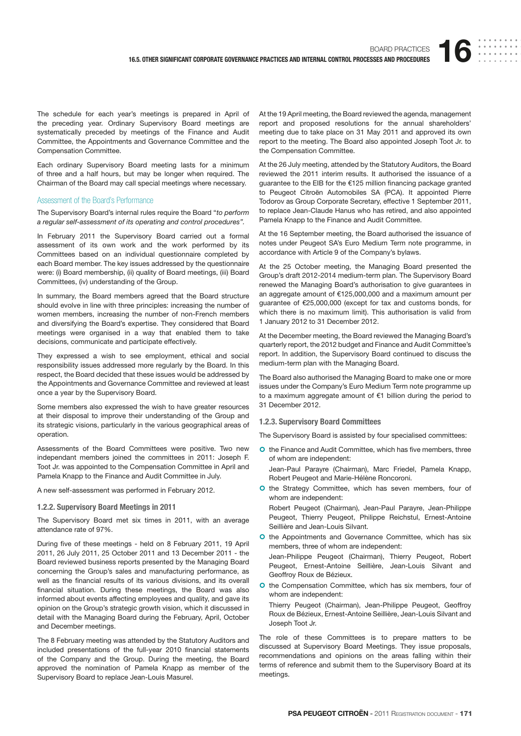The schedule for each year's meetings is prepared in April of the preceding year. Ordinary Supervisory Board meetings are systematically preceded by meetings of the Finance and Audit Committee, the Appointments and Governance Committee and the Compensation Committee.

Each ordinary Supervisory Board meeting lasts for a minimum of three and a half hours, but may be longer when required. The Chairman of the Board may call special meetings where necessary.

#### Assessment of the Board's Performance

The Supervisory Board's internal rules require the Board "to perform a regular self-assessment of its operating and control procedures".

In February 2011 the Supervisory Board carried out a formal assessment of its own work and the work performed by its Committees based on an individual questionnaire completed by each Board member. The key issues addressed by the questionnaire were: (i) Board membership, (ii) quality of Board meetings, (iii) Board Committees, (iv) understanding of the Group.

In summary, the Board members agreed that the Board structure should evolve in line with three principles: increasing the number of women members, increasing the number of non-French members and diversifying the Board's expertise. They considered that Board meetings were organised in a way that enabled them to take decisions, communicate and participate effectively.

They expressed a wish to see employment, ethical and social responsibility issues addressed more regularly by the Board. In this respect, the Board decided that these issues would be addressed by the Appointments and Governance Committee and reviewed at least once a year by the Supervisory Board.

Some members also expressed the wish to have greater resources at their disposal to improve their understanding of the Group and its strategic visions, particularly in the various geographical areas of operation.

Assessments of the Board Committees were positive. Two new independant members joined the committees in 2011: Joseph F. Toot Jr. was appointed to the Compensation Committee in April and Pamela Knapp to the Finance and Audit Committee in July.

A new self-assessment was performed in February 2012.

#### **1.2.2. Supervisory Board Meetings in 2011**

The Supervisory Board met six times in 2011, with an average attendance rate of 97%.

During five of these meetings - held on 8 February 2011, 19 April 2011, 26 July 2011, 25 October 2011 and 13 December 2011 - the Board reviewed business reports presented by the Managing Board concerning the Group's sales and manufacturing performance, as well as the financial results of its various divisions, and its overall financial situation. During these meetings, the Board was also informed about events affecting employees and quality, and gave its opinion on the Group's strategic growth vision, which it discussed in detail with the Managing Board during the February, April, October and December meetings.

The 8 February meeting was attended by the Statutory Auditors and included presentations of the full-year 2010 financial statements of the Company and the Group. During the meeting, the Board approved the nomination of Pamela Knapp as member of the Supervisory Board to replace Jean-Louis Masurel.

At the 19 April meeting, the Board reviewed the agenda, management report and proposed resolutions for the annual shareholders' meeting due to take place on 31 May 2011 and approved its own report to the meeting. The Board also appointed Joseph Toot Jr. to the Compensation Committee.

At the 26 July meeting, attended by the Statutory Auditors, the Board reviewed the 2011 interim results. It authorised the issuance of a guarantee to the EIB for the €125 million financing package granted to Peugeot Citroën Automobiles SA (PCA). It appointed Pierre Todorov as Group Corporate Secretary, effective 1 September 2011, to replace Jean-Claude Hanus who has retired, and also appointed Pamela Knapp to the Finance and Audit Committee.

At the 16 September meeting, the Board authorised the issuance of notes under Peugeot SA's Euro Medium Term note programme, in accordance with Article 9 of the Company's bylaws.

At the 25 October meeting, the Managing Board presented the Group's draft 2012-2014 medium-term plan. The Supervisory Board renewed the Managing Board's authorisation to give guarantees in an aggregate amount of €125,000,000 and a maximum amount per guarantee of €25,000,000 (except for tax and customs bonds, for which there is no maximum limit). This authorisation is valid from 1 January 2012 to 31 December 2012.

At the December meeting, the Board reviewed the Managing Board's quarterly report, the 2012 budget and Finance and Audit Committee's report. In addition, the Supervisory Board continued to discuss the medium-term plan with the Managing Board.

The Board also authorised the Managing Board to make one or more issues under the Company's Euro Medium Term note programme up to a maximum aggregate amount of €1 billion during the period to 31 December 2012.

#### **1.2.3. Supervisory Board Committees**

The Supervisory Board is assisted by four specialised committees:

- O the Finance and Audit Committee, which has five members, three of whom are independent: Jean-Paul Parayre (Chairman), Marc Friedel, Pamela Knapp, Robert Peugeot and Marie-Hélène Roncoroni.
- **O** the Strategy Committee, which has seven members, four of whom are independent:

Robert Peugeot (Chairman), Jean-Paul Parayre, Jean-Philippe Peugeot, Thierry Peugeot, Philippe Reichstul, Ernest-Antoine Seillière and Jean-Louis Silvant.

**O** the Appointments and Governance Committee, which has six members, three of whom are independent:

Jean-Philippe Peugeot (Chairman), Thierry Peugeot, Robert Peugeot, Ernest-Antoine Seillière, Jean-Louis Silvant and Geoffroy Roux de Bézieux.

O the Compensation Committee, which has six members, four of whom are independent:

Thierry Peugeot (Chairman), Jean-Philippe Peugeot, Geoffroy Roux de Bézieux, Ernest-Antoine Seillière, Jean-Louis Silvant and Joseph Toot Jr.

The role of these Committees is to prepare matters to be discussed at Supervisory Board Meetings. They issue proposals, recommendations and opinions on the areas falling within their terms of reference and submit them to the Supervisory Board at its meetings.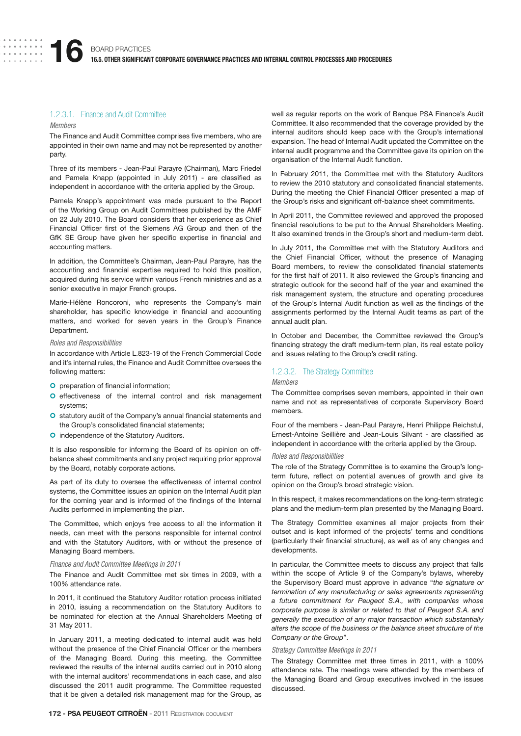# 1.2.3.1. Finance and Audit Committee

#### Members

The Finance and Audit Committee comprises five members, who are appointed in their own name and may not be represented by another party.

Three of its members - Jean-Paul Parayre (Chairman), Marc Friedel and Pamela Knapp (appointed in July 2011) - are classified as independent in accordance with the criteria applied by the Group.

Pamela Knapp's appointment was made pursuant to the Report of the Working Group on Audit Committees published by the AMF on 22 July 2010. The Board considers that her experience as Chief Financial Officer first of the Siemens AG Group and then of the GfK SE Group have given her specific expertise in financial and accounting matters.

In addition, the Committee's Chairman, Jean-Paul Parayre, has the accounting and financial expertise required to hold this position, acquired during his service within various French ministries and as a senior executive in major French groups.

Marie-Hélène Roncoroni, who represents the Company's main shareholder, has specific knowledge in financial and accounting matters, and worked for seven years in the Group's Finance Department.

#### Roles and Responsibilities

In accordance with Article L.823-19 of the French Commercial Code and it's internal rules, the Finance and Audit Committee oversees the following matters:

- **O** preparation of financial information;
- O effectiveness of the internal control and risk management systems;
- O statutory audit of the Company's annual financial statements and the Group's consolidated financial statements;
- **O** independence of the Statutory Auditors.

It is also responsible for informing the Board of its opinion on offbalance sheet commitments and any project requiring prior approval by the Board, notably corporate actions.

As part of its duty to oversee the effectiveness of internal control systems, the Committee issues an opinion on the Internal Audit plan for the coming year and is informed of the findings of the Internal Audits performed in implementing the plan.

The Committee, which enjoys free access to all the information it needs, can meet with the persons responsible for internal control and with the Statutory Auditors, with or without the presence of Managing Board members.

#### Finance and Audit Committee Meetings in 2011

The Finance and Audit Committee met six times in 2009, with a 100% attendance rate.

In 2011, it continued the Statutory Auditor rotation process initiated in 2010, issuing a recommendation on the Statutory Auditors to be nominated for election at the Annual Shareholders Meeting of 31 May 2011.

In January 2011, a meeting dedicated to internal audit was held without the presence of the Chief Financial Officer or the members of the Managing Board. During this meeting, the Committee reviewed the results of the internal audits carried out in 2010 along with the internal auditors' recommendations in each case, and also discussed the 2011 audit programme. The Committee requested that it be given a detailed risk management map for the Group, as

well as regular reports on the work of Banque PSA Finance's Audit Committee. It also recommended that the coverage provided by the internal auditors should keep pace with the Group's international expansion. The head of Internal Audit updated the Committee on the internal audit programme and the Committee gave its opinion on the organisation of the Internal Audit function.

In February 2011, the Committee met with the Statutory Auditors to review the 2010 statutory and consolidated financial statements. During the meeting the Chief Financial Officer presented a map of the Group's risks and significant off-balance sheet commitments.

In April 2011, the Committee reviewed and approved the proposed financial resolutions to be put to the Annual Shareholders Meeting. It also examined trends in the Group's short and medium-term debt.

In July 2011, the Committee met with the Statutory Auditors and the Chief Financial Officer, without the presence of Managing Board members, to review the consolidated financial statements for the first half of 2011. It also reviewed the Group's financing and strategic outlook for the second half of the year and examined the risk management system, the structure and operating procedures of the Group's Internal Audit function as well as the findings of the assignments performed by the Internal Audit teams as part of the annual audit plan.

In October and December, the Committee reviewed the Group's financing strategy the draft medium-term plan, its real estate policy and issues relating to the Group's credit rating.

# 1.2.3.2. The Strategy Committee

#### Members

The Committee comprises seven members, appointed in their own name and not as representatives of corporate Supervisory Board members.

Four of the members - Jean-Paul Parayre, Henri Philippe Reichstul, Ernest-Antoine Seillière and Jean-Louis Silvant - are classified as independent in accordance with the criteria applied by the Group.

#### Roles and Responsibilities

The role of the Strategy Committee is to examine the Group's longterm future, reflect on potential avenues of growth and give its opinion on the Group's broad strategic vision.

In this respect, it makes recommendations on the long-term strategic plans and the medium-term plan presented by the Managing Board.

The Strategy Committee examines all major projects from their outset and is kept informed of the projects' terms and conditions (particularly their financial structure), as well as of any changes and developments.

In particular, the Committee meets to discuss any project that falls within the scope of Article 9 of the Company's bylaws, whereby the Supervisory Board must approve in advance "the signature or termination of any manufacturing or sales agreements representing a future commitment for Peugeot S.A., with companies whose corporate purpose is similar or related to that of Peugeot S.A. and generally the execution of any major transaction which substantially alters the scope of the business or the balance sheet structure of the Company or the Group".

#### Strategy Committee Meetings in 2011

The Strategy Committee met three times in 2011, with a 100% attendance rate. The meetings were attended by the members of the Managing Board and Group executives involved in the issues discussed.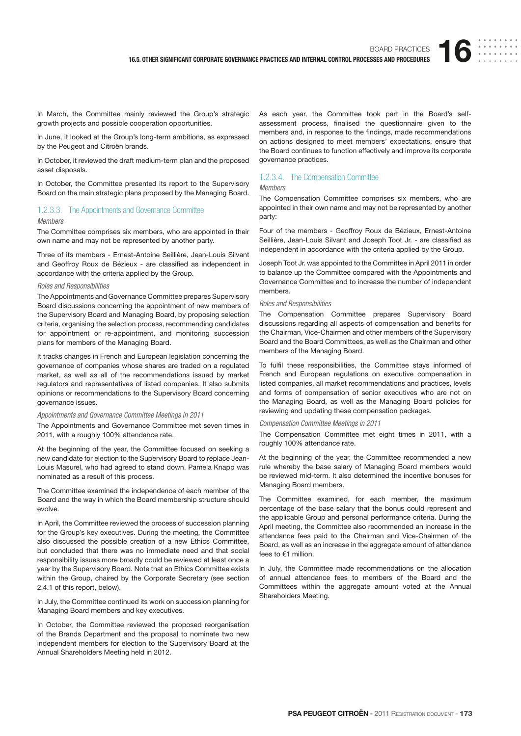In March, the Committee mainly reviewed the Group's strategic growth projects and possible cooperation opportunities.

In June, it looked at the Group's long-term ambitions, as expressed by the Peugeot and Citroën brands.

In October, it reviewed the draft medium-term plan and the proposed asset disposals.

In October, the Committee presented its report to the Supervisory Board on the main strategic plans proposed by the Managing Board.

# 1.2.3.3. The Appointments and Governance Committee

#### Members

The Committee comprises six members, who are appointed in their own name and may not be represented by another party.

Three of its members - Ernest-Antoine Seillière, Jean-Louis Silvant and Geoffroy Roux de Bézieux - are classified as independent in accordance with the criteria applied by the Group.

## Roles and Responsibilities

The Appointments and Governance Committee prepares Supervisory Board discussions concerning the appointment of new members of the Supervisory Board and Managing Board, by proposing selection criteria, organising the selection process, recommending candidates for appointment or re-appointment, and monitoring succession plans for members of the Managing Board.

It tracks changes in French and European legislation concerning the governance of companies whose shares are traded on a regulated market, as well as all of the recommendations issued by market regulators and representatives of listed companies. It also submits opinions or recommendations to the Supervisory Board concerning governance issues.

## Appointments and Governance Committee Meetings in 2011

The Appointments and Governance Committee met seven times in 2011, with a roughly 100% attendance rate.

At the beginning of the year, the Committee focused on seeking a new candidate for election to the Supervisory Board to replace Jean-Louis Masurel, who had agreed to stand down. Pamela Knapp was nominated as a result of this process.

The Committee examined the independence of each member of the Board and the way in which the Board membership structure should evolve.

In April, the Committee reviewed the process of succession planning for the Group's key executives. During the meeting, the Committee also discussed the possible creation of a new Ethics Committee, but concluded that there was no immediate need and that social responsibility issues more broadly could be reviewed at least once a year by the Supervisory Board. Note that an Ethics Committee exists within the Group, chaired by the Corporate Secretary (see section 2.4.1 of this report, below).

In July, the Committee continued its work on succession planning for Managing Board members and key executives.

In October, the Committee reviewed the proposed reorganisation of the Brands Department and the proposal to nominate two new independent members for election to the Supervisory Board at the Annual Shareholders Meeting held in 2012.

As each year, the Committee took part in the Board's selfassessment process, finalised the questionnaire given to the members and, in response to the findings, made recommendations on actions designed to meet members' expectations, ensure that the Board continues to function effectively and improve its corporate governance practices.

## 1.2.3.4. The Compensation Committee

# Members

The Compensation Committee comprises six members, who are appointed in their own name and may not be represented by another party:

Four of the members - Geoffroy Roux de Bézieux, Ernest-Antoine Seillière, Jean-Louis Silvant and Joseph Toot Jr. - are classified as independent in accordance with the criteria applied by the Group.

Joseph Toot Jr. was appointed to the Committee in April 2011 in order to balance up the Committee compared with the Appointments and Governance Committee and to increase the number of independent members.

#### Roles and Responsibilities

The Compensation Committee prepares Supervisory Board discussions regarding all aspects of compensation and benefits for the Chairman, Vice-Chairmen and other members of the Supervisory Board and the Board Committees, as well as the Chairman and other members of the Managing Board.

To fulfil these responsibilities, the Committee stays informed of French and European regulations on executive compensation in listed companies, all market recommendations and practices, levels and forms of compensation of senior executives who are not on the Managing Board, as well as the Managing Board policies for reviewing and updating these compensation packages.

## Compensation Committee Meetings in 2011

The Compensation Committee met eight times in 2011, with a roughly 100% attendance rate.

At the beginning of the year, the Committee recommended a new rule whereby the base salary of Managing Board members would be reviewed mid-term. It also determined the incentive bonuses for Managing Board members.

The Committee examined, for each member, the maximum percentage of the base salary that the bonus could represent and the applicable Group and personal performance criteria. During the April meeting, the Committee also recommended an increase in the attendance fees paid to the Chairman and Vice-Chairmen of the Board, as well as an increase in the aggregate amount of attendance fees to €1 million.

In July, the Committee made recommendations on the allocation of annual attendance fees to members of the Board and the Committees within the aggregate amount voted at the Annual Shareholders Meeting.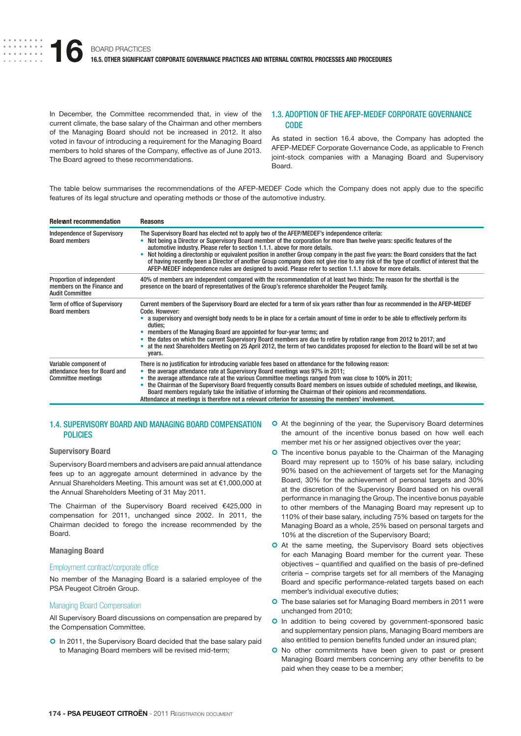In December, the Committee recommended that, in view of the current climate, the base salary of the Chairman and other members of the Managing Board should not be increased in 2012. It also voted in favour of introducing a requirement for the Managing Board members to hold shares of the Company, effective as of June 2013. The Board agreed to these recommendations.

## 1.3. ADOPTION OF THE AFEP-MEDEF CORPORATE GOVERNANCE CODE

As stated in section 16.4 above, the Company has adopted the AFEP-MEDEF Corporate Governance Code, as applicable to French joint-stock companies with a Managing Board and Supervisory Board.

The table below summarises the recommendations of the AFEP-MEDEF Code which the Company does not apply due to the specific features of its legal structure and operating methods or those of the automotive industry.

| <b>Relevant recommendation</b>                                                      | <b>Reasons</b>                                                                                                                                                                                                                                                                                                                                                                                                                                                                                                                                                                                                                                                                                            |
|-------------------------------------------------------------------------------------|-----------------------------------------------------------------------------------------------------------------------------------------------------------------------------------------------------------------------------------------------------------------------------------------------------------------------------------------------------------------------------------------------------------------------------------------------------------------------------------------------------------------------------------------------------------------------------------------------------------------------------------------------------------------------------------------------------------|
| <b>Independence of Supervisory</b><br><b>Board members</b>                          | The Supervisory Board has elected not to apply two of the AFEP/MEDEF's independence criteria:<br>Not being a Director or Supervisory Board member of the corporation for more than twelve years: specific features of the<br>automotive industry. Please refer to section 1.1.1. above for more details.<br>Not holding a directorship or equivalent position in another Group company in the past five years: the Board considers that the fact<br>of having recently been a Director of another Group company does not give rise to any risk of the type of conflict of interest that the<br>AFEP-MEDEF independence rules are designed to avoid. Please refer to section 1.1.1 above for more details. |
| Proportion of independent<br>members on the Finance and<br><b>Audit Committee</b>   | 40% of members are independent compared with the recommendation of at least two thirds: The reason for the shortfall is the<br>presence on the board of representatives of the Group's reference shareholder the Peugeot family.                                                                                                                                                                                                                                                                                                                                                                                                                                                                          |
| <b>Term of office of Supervisory</b><br><b>Board members</b>                        | Current members of the Supervisory Board are elected for a term of six years rather than four as recommended in the AFEP-MEDEF<br>Code, However:<br>a supervisory and oversight body needs to be in place for a certain amount of time in order to be able to effectively perform its<br>duties;<br>members of the Managing Board are appointed for four-year terms; and<br>the dates on which the current Supervisory Board members are due to retire by rotation range from 2012 to 2017; and<br>at the next Shareholders Meeting on 25 April 2012, the term of two candidates proposed for election to the Board will be set at two<br>years.                                                          |
| Variable component of<br>attendance fees for Board and<br><b>Committee meetings</b> | There is no justification for introducing variable fees based on attendance for the following reason:<br>the average attendance rate at Supervisory Board meetings was 97% in 2011;<br>the average attendance rate at the various Committee meetings ranged from was close to 100% in 2011;<br>the Chairman of the Supervisory Board frequently consults Board members on issues outside of scheduled meetings, and likewise,<br>Board members regularly take the initiative of informing the Chairman of their opinions and recommendations.<br>Attendance at meetings is therefore not a relevant criterion for assessing the members' involvement.                                                     |

# 1.4. SUPERVISORY BOARD AND MANAGING BOARD COMPENSATION POLICIES

### **Supervisory Board**

Supervisory Board members and advisers are paid annual attendance fees up to an aggregate amount determined in advance by the Annual Shareholders Meeting. This amount was set at €1,000,000 at the Annual Shareholders Meeting of 31 May 2011.

The Chairman of the Supervisory Board received €425,000 in compensation for 2011, unchanged since 2002. In 2011, the Chairman decided to forego the increase recommended by the Board.

#### **Managing Board**

### Employment contract/corporate office

No member of the Managing Board is a salaried employee of the PSA Peugeot Citroën Group.

# Managing Board Compensation

All Supervisory Board discussions on compensation are prepared by the Compensation Committee.

**O** In 2011, the Supervisory Board decided that the base salary paid to Managing Board members will be revised mid-term;

- O At the beginning of the year, the Supervisory Board determines the amount of the incentive bonus based on how well each member met his or her assigned objectives over the year;
- **O** The incentive bonus payable to the Chairman of the Managing Board may represent up to 150% of his base salary, including 90% based on the achievement of targets set for the Managing Board, 30% for the achievement of personal targets and 30% at the discretion of the Supervisory Board based on his overall performance in managing the Group. The incentive bonus payable to other members of the Managing Board may represent up to 110% of their base salary, including 75% based on targets for the Managing Board as a whole, 25% based on personal targets and 10% at the discretion of the Supervisory Board;
- O At the same meeting, the Supervisory Board sets objectives for each Managing Board member for the current year. These objectives – quantified and qualified on the basis of pre-defined criteria – comprise targets set for all members of the Managing Board and specific performance-related targets based on each member's individual executive duties;
- **O** The base salaries set for Managing Board members in 2011 were unchanged from 2010;
- **O** In addition to being covered by government-sponsored basic and supplementary pension plans, Managing Board members are also entitled to pension benefits funded under an insured plan;
- **O** No other commitments have been given to past or present Managing Board members concerning any other benefits to be paid when they cease to be a member;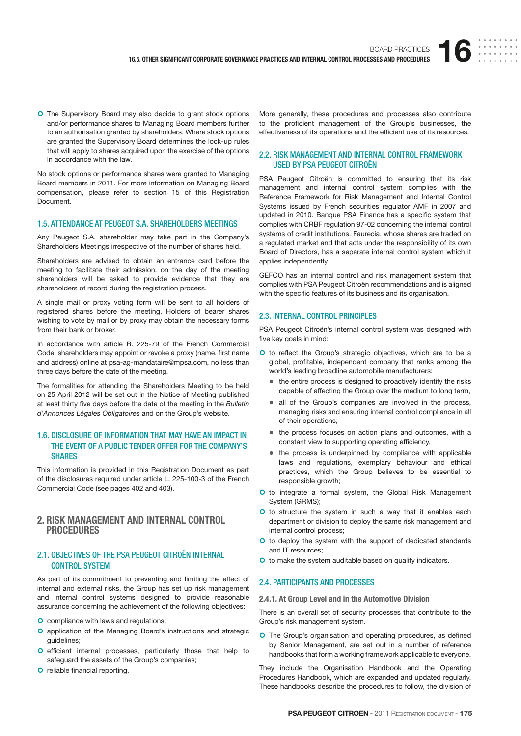**O** The Supervisory Board may also decide to grant stock options and/or performance shares to Managing Board members further to an authorisation granted by shareholders. Where stock options are granted the Supervisory Board determines the lock-up rules that will apply to shares acquired upon the exercise of the options in accordance with the law.

No stock options or performance shares were granted to Managing Board members in 2011. For more information on Managing Board compensation, please refer to section 15 of this Registration Document.

## 1.5. ATTENDANCE AT PEUGEOT S.A. SHAREHOLDERS MEETINGS

Any Peugeot S.A. shareholder may take part in the Company's Shareholders Meetings irrespective of the number of shares held.

Shareholders are advised to obtain an entrance card before the meeting to facilitate their admission. on the day of the meeting shareholders will be asked to provide evidence that they are shareholders of record during the registration process.

A single mail or proxy voting form will be sent to all holders of registered shares before the meeting. Holders of bearer shares wishing to vote by mail or by proxy may obtain the necessary forms from their bank or broker.

In accordance with article R. 225-79 of the French Commercial Code, shareholders may appoint or revoke a proxy (name, first name and address) online at psa-ag-mandataire@mpsa.com, no less than three days before the date of the meeting.

The formalities for attending the Shareholders Meeting to be held on 25 April 2012 will be set out in the Notice of Meeting published at least thirty five days before the date of the meeting in the Bulletin d'Annonces Légales Obligatoires and on the Group's website.

# 1.6. DISCLOSURE OF INFORMATION THAT MAY HAVE AN IMPACT IN THE EVENT OF A PUBLIC TENDER OFFER FOR THE COMPANY'S **SHARES**

This information is provided in this Registration Document as part of the disclosures required under article L. 225-100-3 of the French Commercial Code (see pages 402 and 403).

# **2. RISK MANAGEMENT AND INTERNAL CONTROL PROCEDURES**

# 2.1. OBJECTIVES OF THE PSA PEUGEOT CITROËN INTERNAL CONTROL SYSTEM

As part of its commitment to preventing and limiting the effect of internal and external risks, the Group has set up risk management and internal control systems designed to provide reasonable assurance concerning the achievement of the following objectives:

- **O** compliance with laws and regulations;
- **O** application of the Managing Board's instructions and strategic guidelines;
- O efficient internal processes, particularly those that help to safeguard the assets of the Group's companies;
- **O** reliable financial reporting.

More generally, these procedures and processes also contribute to the proficient management of the Group's businesses, the effectiveness of its operations and the efficient use of its resources.

# 2.2. RISK MANAGEMENT AND INTERNAL CONTROL FRAMEWORK USED BY PSA PEUGEOT CITROËN

PSA Peugeot Citroën is committed to ensuring that its risk management and internal control system complies with the Reference Framework for Risk Management and Internal Control Systems issued by French securities regulator AMF in 2007 and updated in 2010. Banque PSA Finance has a specific system that complies with CRBF regulation 97-02 concerning the internal control systems of credit institutions. Faurecia, whose shares are traded on a regulated market and that acts under the responsibility of its own Board of Directors, has a separate internal control system which it applies independently.

GEFCO has an internal control and risk management system that complies with PSA Peugeot Citroën recommendations and is aligned with the specific features of its business and its organisation.

#### 2.3. INTERNAL CONTROL PRINCIPLES

PSA Peugeot Citroën's internal control system was designed with five key goals in mind:

- O to reflect the Group's strategic objectives, which are to be a global, profitable, independent company that ranks among the world's leading broadline automobile manufacturers:
	- $\bullet$  the entire process is designed to proactively identify the risks capable of affecting the Group over the medium to long term,
	- all of the Group's companies are involved in the process, managing risks and ensuring internal control compliance in all of their operations,
	- $\bullet$  the process focuses on action plans and outcomes, with a constant view to supporting operating efficiency,
	- $\bullet$  the process is underpinned by compliance with applicable laws and regulations, exemplary behaviour and ethical practices, which the Group believes to be essential to responsible growth;
- O to integrate a formal system, the Global Risk Management System (GRMS);
- O to structure the system in such a way that it enables each department or division to deploy the same risk management and internal control process;
- **O** to deploy the system with the support of dedicated standards and IT resources;
- O to make the system auditable based on quality indicators.

## 2.4. PARTICIPANTS AND PROCESSES

## **2.4.1. At Group Level and in the Automotive Division**

There is an overall set of security processes that contribute to the Group's risk management system.

**O** The Group's organisation and operating procedures, as defined by Senior Management, are set out in a number of reference handbooks that form a working framework applicable to everyone.

They include the Organisation Handbook and the Operating Procedures Handbook, which are expanded and updated regularly. These handbooks describe the procedures to follow, the division of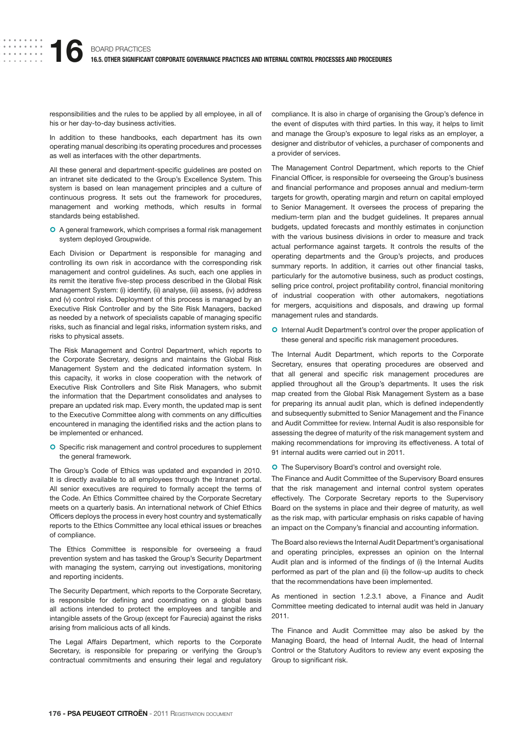responsibilities and the rules to be applied by all employee, in all of his or her day-to-day business activities.

In addition to these handbooks, each department has its own operating manual describing its operating procedures and processes as well as interfaces with the other departments.

All these general and department-specific guidelines are posted on an intranet site dedicated to the Group's Excellence System. This system is based on lean management principles and a culture of continuous progress. It sets out the framework for procedures, management and working methods, which results in formal standards being established.

O A general framework, which comprises a formal risk management system deployed Groupwide.

Each Division or Department is responsible for managing and controlling its own risk in accordance with the corresponding risk management and control guidelines. As such, each one applies in its remit the iterative five-step process described in the Global Risk Management System: (i) identify, (ii) analyse, (iii) assess, (iv) address and (v) control risks. Deployment of this process is managed by an Executive Risk Controller and by the Site Risk Managers, backed as needed by a network of specialists capable of managing specific risks, such as financial and legal risks, information system risks, and risks to physical assets.

The Risk Management and Control Department, which reports to the Corporate Secretary, designs and maintains the Global Risk Management System and the dedicated information system. In this capacity, it works in close cooperation with the network of Executive Risk Controllers and Site Risk Managers, who submit the information that the Department consolidates and analyses to prepare an updated risk map. Every month, the updated map is sent to the Executive Committee along with comments on any difficulties encountered in managing the identified risks and the action plans to be implemented or enhanced.

**O** Specific risk management and control procedures to supplement the general framework.

The Group's Code of Ethics was updated and expanded in 2010. It is directly available to all employees through the Intranet portal. All senior executives are required to formally accept the terms of the Code. An Ethics Committee chaired by the Corporate Secretary meets on a quarterly basis. An international network of Chief Ethics Officers deploys the process in every host country and systematically reports to the Ethics Committee any local ethical issues or breaches of compliance.

The Ethics Committee is responsible for overseeing a fraud prevention system and has tasked the Group's Security Department with managing the system, carrying out investigations, monitoring and reporting incidents.

The Security Department, which reports to the Corporate Secretary, is responsible for defining and coordinating on a global basis all actions intended to protect the employees and tangible and intangible assets of the Group (except for Faurecia) against the risks arising from malicious acts of all kinds.

The Legal Affairs Department, which reports to the Corporate Secretary, is responsible for preparing or verifying the Group's contractual commitments and ensuring their legal and regulatory compliance. It is also in charge of organising the Group's defence in the event of disputes with third parties. In this way, it helps to limit and manage the Group's exposure to legal risks as an employer, a designer and distributor of vehicles, a purchaser of components and a provider of services.

The Management Control Department, which reports to the Chief Financial Officer, is responsible for overseeing the Group's business and financial performance and proposes annual and medium-term targets for growth, operating margin and return on capital employed to Senior Management. It oversees the process of preparing the medium-term plan and the budget guidelines. It prepares annual budgets, updated forecasts and monthly estimates in conjunction with the various business divisions in order to measure and track actual performance against targets. It controls the results of the operating departments and the Group's projects, and produces summary reports. In addition, it carries out other financial tasks, particularly for the automotive business, such as product costings, selling price control, project profitability control, financial monitoring of industrial cooperation with other automakers, negotiations for mergers, acquisitions and disposals, and drawing up formal management rules and standards.

**O** Internal Audit Department's control over the proper application of these general and specific risk management procedures.

The Internal Audit Department, which reports to the Corporate Secretary, ensures that operating procedures are observed and that all general and specific risk management procedures are applied throughout all the Group's departments. It uses the risk map created from the Global Risk Management System as a base for preparing its annual audit plan, which is defined independently and subsequently submitted to Senior Management and the Finance and Audit Committee for review. Internal Audit is also responsible for assessing the degree of maturity of the risk management system and making recommendations for improving its effectiveness. A total of 91 internal audits were carried out in 2011.

**O** The Supervisory Board's control and oversight role.

The Finance and Audit Committee of the Supervisory Board ensures that the risk management and internal control system operates effectively. The Corporate Secretary reports to the Supervisory Board on the systems in place and their degree of maturity, as well as the risk map, with particular emphasis on risks capable of having an impact on the Company's financial and accounting information.

The Board also reviews the Internal Audit Department's organisational and operating principles, expresses an opinion on the Internal Audit plan and is informed of the findings of (i) the Internal Audits performed as part of the plan and (ii) the follow-up audits to check that the recommendations have been implemented.

As mentioned in section 1.2.3.1 above, a Finance and Audit Committee meeting dedicated to internal audit was held in January 2011.

The Finance and Audit Committee may also be asked by the Managing Board, the head of Internal Audit, the head of Internal Control or the Statutory Auditors to review any event exposing the Group to significant risk.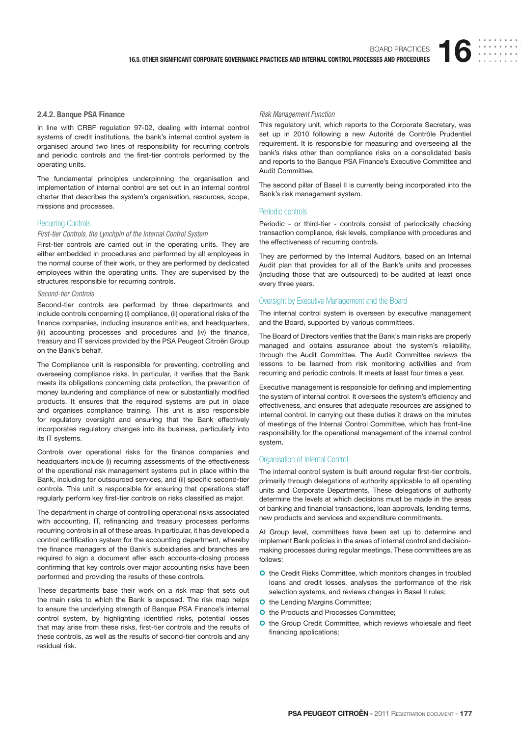#### **2.4.2. Banque PSA Finance**

In line with CRBF regulation 97-02, dealing with internal control systems of credit institutions, the bank's internal control system is organised around two lines of responsibility for recurring controls and periodic controls and the first-tier controls performed by the operating units.

The fundamental principles underpinning the organisation and implementation of internal control are set out in an internal control charter that describes the system's organisation, resources, scope, missions and processes.

# Recurring Controls

#### First-tier Controls, the Lynchpin of the Internal Control System

First-tier controls are carried out in the operating units. They are either embedded in procedures and performed by all employees in the normal course of their work, or they are performed by dedicated employees within the operating units. They are supervised by the structures responsible for recurring controls.

## Second-tier Controls

Second-tier controls are performed by three departments and include controls concerning (i) compliance, (ii) operational risks of the finance companies, including insurance entities, and headquarters, (iii) accounting processes and procedures and (iv) the finance, treasury and IT services provided by the PSA Peugeot Citroën Group on the Bank's behalf.

The Compliance unit is responsible for preventing, controlling and overseeing compliance risks. In particular, it verifies that the Bank meets its obligations concerning data protection, the prevention of money laundering and compliance of new or substantially modified products. It ensures that the required systems are put in place and organises compliance training. This unit is also responsible for regulatory oversight and ensuring that the Bank effectively incorporates regulatory changes into its business, particularly into its IT systems.

Controls over operational risks for the finance companies and headquarters include (i) recurring assessments of the effectiveness of the operational risk management systems put in place within the Bank, including for outsourced services, and (ii) specific second-tier controls. This unit is responsible for ensuring that operations staff regularly perform key first-tier controls on risks classified as major.

The department in charge of controlling operational risks associated with accounting, IT, refinancing and treasury processes performs recurring controls in all of these areas. In particular, it has developed a control certification system for the accounting department, whereby the finance managers of the Bank's subsidiaries and branches are required to sign a document after each accounts-closing process confirming that key controls over major accounting risks have been performed and providing the results of these controls.

These departments base their work on a risk map that sets out the main risks to which the Bank is exposed. The risk map helps to ensure the underlying strength of Banque PSA Finance's internal control system, by highlighting identified risks, potential losses that may arise from these risks, first-tier controls and the results of these controls, as well as the results of second-tier controls and any residual risk.

#### Risk Management Function

This regulatory unit, which reports to the Corporate Secretary, was set up in 2010 following a new Autorité de Contrôle Prudentiel requirement. It is responsible for measuring and overseeing all the bank's risks other than compliance risks on a consolidated basis and reports to the Banque PSA Finance's Executive Committee and Audit Committee.

The second pillar of Basel II is currently being incorporated into the Bank's risk management system.

#### Periodic controls

Periodic - or third-tier - controls consist of periodically checking transaction compliance, risk levels, compliance with procedures and the effectiveness of recurring controls.

They are performed by the Internal Auditors, based on an Internal Audit plan that provides for all of the Bank's units and processes (including those that are outsourced) to be audited at least once every three years.

#### Oversight by Executive Management and the Board

The internal control system is overseen by executive management and the Board, supported by various committees.

The Board of Directors verifies that the Bank's main risks are properly managed and obtains assurance about the system's reliability, through the Audit Committee. The Audit Committee reviews the lessons to be learned from risk monitoring activities and from recurring and periodic controls. It meets at least four times a year.

Executive management is responsible for defining and implementing the system of internal control. It oversees the system's efficiency and effectiveness, and ensures that adequate resources are assigned to internal control. In carrying out these duties it draws on the minutes of meetings of the Internal Control Committee, which has front-line responsibility for the operational management of the internal control system.

#### Organisation of Internal Control

The internal control system is built around regular first-tier controls, primarily through delegations of authority applicable to all operating units and Corporate Departments. These delegations of authority determine the levels at which decisions must be made in the areas of banking and financial transactions, loan approvals, lending terms, new products and services and expenditure commitments.

At Group level, committees have been set up to determine and implement Bank policies in the areas of internal control and decisionmaking processes during regular meetings. These committees are as follows:

- **O** the Credit Risks Committee, which monitors changes in troubled loans and credit losses, analyses the performance of the risk selection systems, and reviews changes in Basel II rules;
- **O** the Lending Margins Committee;
- **O** the Products and Processes Committee;
- **O** the Group Credit Committee, which reviews wholesale and fleet financing applications;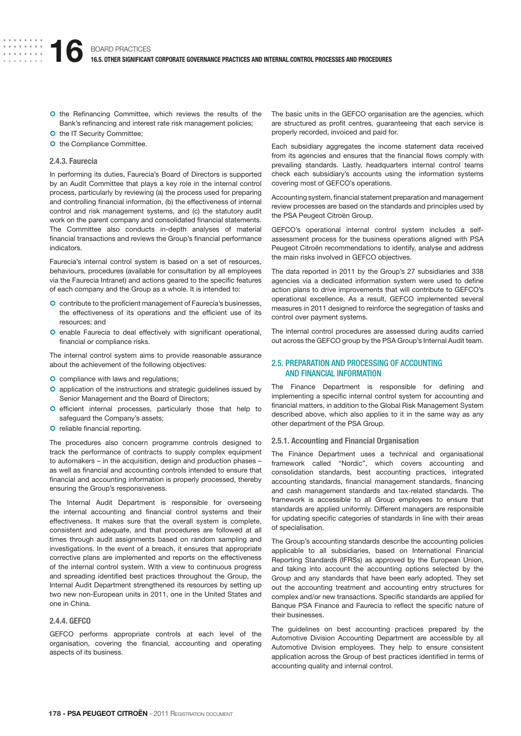- O the Refinancing Committee, which reviews the results of the Bank's refinancing and interest rate risk management policies;
- O the IT Security Committee;
- **O** the Compliance Committee.

#### **2.4.3. Faurecia**

In performing its duties, Faurecia's Board of Directors is supported by an Audit Committee that plays a key role in the internal control process, particularly by reviewing (a) the process used for preparing and controlling financial information, (b) the effectiveness of internal control and risk management systems, and (c) the statutory audit work on the parent company and consolidated financial statements. The Committee also conducts in-depth analyses of material financial transactions and reviews the Group's financial performance indicators.

Faurecia's internal control system is based on a set of resources, behaviours, procedures (available for consultation by all employees via the Faurecia Intranet) and actions geared to the specific features of each company and the Group as a whole. It is intended to:

- O contribute to the proficient management of Faurecia's businesses, the effectiveness of its operations and the efficient use of its resources; and
- O enable Faurecia to deal effectively with significant operational, financial or compliance risks.

The internal control system aims to provide reasonable assurance about the achievement of the following objectives:

- O compliance with laws and regulations;
- **O** application of the instructions and strategic guidelines issued by Senior Management and the Board of Directors;
- O efficient internal processes, particularly those that help to safeguard the Company's assets;
- **O** reliable financial reporting.

The procedures also concern programme controls designed to track the performance of contracts to supply complex equipment to automakers – in the acquisition, design and production phases – as well as financial and accounting controls intended to ensure that financial and accounting information is properly processed, thereby ensuring the Group's responsiveness.

The Internal Audit Department is responsible for overseeing the internal accounting and financial control systems and their effectiveness. It makes sure that the overall system is complete, consistent and adequate, and that procedures are followed at all times through audit assignments based on random sampling and investigations. In the event of a breach, it ensures that appropriate corrective plans are implemented and reports on the effectiveness of the internal control system. With a view to continuous progress and spreading identified best practices throughout the Group, the Internal Audit Department strengthened its resources by setting up two new non-European units in 2011, one in the United States and one in China.

## **2.4.4. GEFCO**

GEFCO performs appropriate controls at each level of the organisation, covering the financial, accounting and operating aspects of its business.

The basic units in the GEFCO organisation are the agencies, which are structured as profit centres, guaranteeing that each service is properly recorded, invoiced and paid for.

Each subsidiary aggregates the income statement data received from its agencies and ensures that the financial flows comply with prevailing standards. Lastly, headquarters internal control teams check each subsidiary's accounts using the information systems covering most of GEFCO's operations.

Accounting system, financial statement preparation and management review processes are based on the standards and principles used by the PSA Peugeot Citroën Group.

GEFCO's operational internal control system includes a selfassessment process for the business operations aligned with PSA Peugeot Citroën recommendations to identify, analyse and address the main risks involved in GEFCO objectives.

The data reported in 2011 by the Group's 27 subsidiaries and 338 agencies via a dedicated information system were used to define action plans to drive improvements that will contribute to GEFCO's operational excellence. As a result, GEFCO implemented several measures in 2011 designed to reinforce the segregation of tasks and control over payment systems.

The internal control procedures are assessed during audits carried out across the GEFCO group by the PSA Group's Internal Audit team.

# 2.5. PREPARATION AND PROCESSING OF ACCOUNTING AND FINANCIAL INFORMATION

The Finance Department is responsible for defining and implementing a specific internal control system for accounting and financial matters, in addition to the Global Risk Management System described above, which also applies to it in the same way as any other department of the PSA Group.

#### **2.5.1. Accounting and Financial Organisation**

The Finance Department uses a technical and organisational framework called "Nordic", which covers accounting and consolidation standards, best accounting practices, integrated accounting standards, financial management standards, financing and cash management standards and tax-related standards. The framework is accessible to all Group employees to ensure that standards are applied uniformly. Different managers are responsible for updating specific categories of standards in line with their areas of specialisation.

The Group's accounting standards describe the accounting policies applicable to all subsidiaries, based on International Financial Reporting Standards (IFRSs) as approved by the European Union, and taking into account the accounting options selected by the Group and any standards that have been early adopted. They set out the accounting treatment and accounting entry structures for complex and/or new transactions. Specific standards are applied for Banque PSA Finance and Faurecia to reflect the specific nature of their businesses.

The guidelines on best accounting practices prepared by the Automotive Division Accounting Department are accessible by all Automotive Division employees. They help to ensure consistent application across the Group of best practices identified in terms of accounting quality and internal control.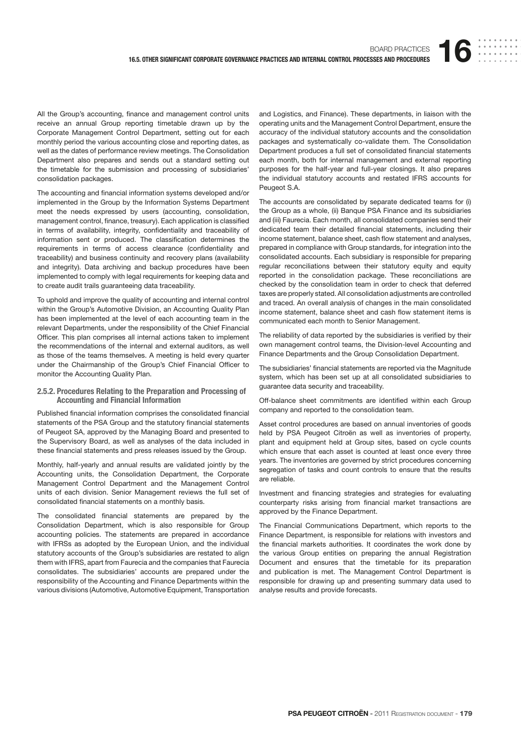All the Group's accounting, finance and management control units receive an annual Group reporting timetable drawn up by the Corporate Management Control Department, setting out for each monthly period the various accounting close and reporting dates, as well as the dates of performance review meetings. The Consolidation Department also prepares and sends out a standard setting out the timetable for the submission and processing of subsidiaries' consolidation packages.

The accounting and financial information systems developed and/or implemented in the Group by the Information Systems Department meet the needs expressed by users (accounting, consolidation, management control, finance, treasury). Each application is classified in terms of availability, integrity, confidentiality and traceability of information sent or produced. The classification determines the requirements in terms of access clearance (confidentiality and traceability) and business continuity and recovery plans (availability and integrity). Data archiving and backup procedures have been implemented to comply with legal requirements for keeping data and to create audit trails guaranteeing data traceability.

To uphold and improve the quality of accounting and internal control within the Group's Automotive Division, an Accounting Quality Plan has been implemented at the level of each accounting team in the relevant Departments, under the responsibility of the Chief Financial Officer. This plan comprises all internal actions taken to implement the recommendations of the internal and external auditors, as well as those of the teams themselves. A meeting is held every quarter under the Chairmanship of the Group's Chief Financial Officer to monitor the Accounting Quality Plan.

## **2.5.2. Procedures Relating to the Preparation and Processing of Accounting and Financial Information**

Published financial information comprises the consolidated financial statements of the PSA Group and the statutory financial statements of Peugeot SA, approved by the Managing Board and presented to the Supervisory Board, as well as analyses of the data included in these financial statements and press releases issued by the Group.

Monthly, half-yearly and annual results are validated jointly by the Accounting units, the Consolidation Department, the Corporate Management Control Department and the Management Control units of each division. Senior Management reviews the full set of consolidated financial statements on a monthly basis.

The consolidated financial statements are prepared by the Consolidation Department, which is also responsible for Group accounting policies. The statements are prepared in accordance with IFRSs as adopted by the European Union, and the individual statutory accounts of the Group's subsidiaries are restated to align them with IFRS, apart from Faurecia and the companies that Faurecia consolidates. The subsidiaries' accounts are prepared under the responsibility of the Accounting and Finance Departments within the various divisions (Automotive, Automotive Equipment, Transportation

and Logistics, and Finance). These departments, in liaison with the operating units and the Management Control Department, ensure the accuracy of the individual statutory accounts and the consolidation packages and systematically co-validate them. The Consolidation Department produces a full set of consolidated financial statements each month, both for internal management and external reporting purposes for the half-year and full-year closings. It also prepares the individual statutory accounts and restated IFRS accounts for Peugeot S.A.

The accounts are consolidated by separate dedicated teams for (i) the Group as a whole, (ii) Banque PSA Finance and its subsidiaries and (iii) Faurecia. Each month, all consolidated companies send their dedicated team their detailed financial statements, including their income statement, balance sheet, cash flow statement and analyses, prepared in compliance with Group standards, for integration into the consolidated accounts. Each subsidiary is responsible for preparing regular reconciliations between their statutory equity and equity reported in the consolidation package. These reconciliations are checked by the consolidation team in order to check that deferred taxes are properly stated. All consolidation adjustments are controlled and traced. An overall analysis of changes in the main consolidated income statement, balance sheet and cash flow statement items is communicated each month to Senior Management.

The reliability of data reported by the subsidiaries is verified by their own management control teams, the Division-level Accounting and Finance Departments and the Group Consolidation Department.

The subsidiaries' financial statements are reported via the Magnitude system, which has been set up at all consolidated subsidiaries to guarantee data security and traceability.

Off-balance sheet commitments are identified within each Group company and reported to the consolidation team.

Asset control procedures are based on annual inventories of goods held by PSA Peugeot Citroën as well as inventories of property, plant and equipment held at Group sites, based on cycle counts which ensure that each asset is counted at least once every three years. The inventories are governed by strict procedures concerning segregation of tasks and count controls to ensure that the results are reliable.

Investment and financing strategies and strategies for evaluating counterparty risks arising from financial market transactions are approved by the Finance Department.

The Financial Communications Department, which reports to the Finance Department, is responsible for relations with investors and the financial markets authorities. It coordinates the work done by the various Group entities on preparing the annual Registration Document and ensures that the timetable for its preparation and publication is met. The Management Control Department is responsible for drawing up and presenting summary data used to analyse results and provide forecasts.